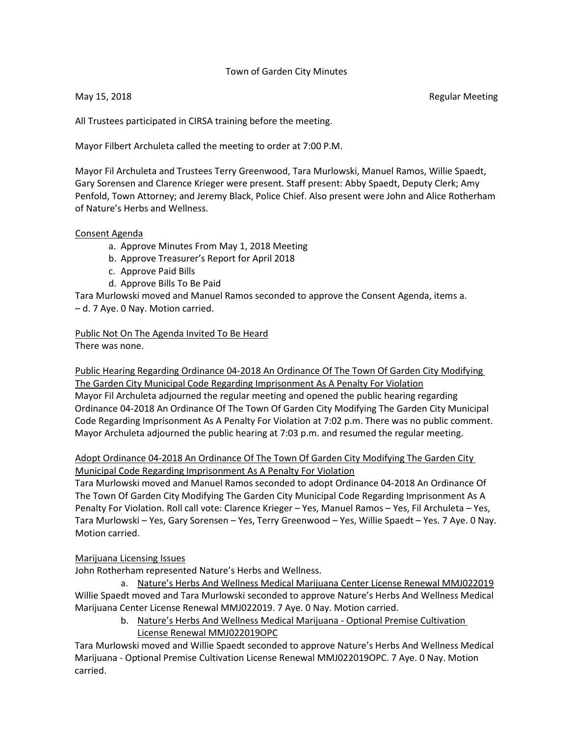#### Town of Garden City Minutes

May 15, 2018 **Regular Meeting** 

All Trustees participated in CIRSA training before the meeting.

Mayor Filbert Archuleta called the meeting to order at 7:00 P.M.

Mayor Fil Archuleta and Trustees Terry Greenwood, Tara Murlowski, Manuel Ramos, Willie Spaedt, Gary Sorensen and Clarence Krieger were present. Staff present: Abby Spaedt, Deputy Clerk; Amy Penfold, Town Attorney; and Jeremy Black, Police Chief. Also present were John and Alice Rotherham of Nature's Herbs and Wellness.

#### Consent Agenda

- a. Approve Minutes From May 1, 2018 Meeting
- b. Approve Treasurer's Report for April 2018
- c. Approve Paid Bills
- d. Approve Bills To Be Paid

Tara Murlowski moved and Manuel Ramos seconded to approve the Consent Agenda, items a. – d. 7 Aye. 0 Nay. Motion carried.

Public Not On The Agenda Invited To Be Heard There was none.

Public Hearing Regarding Ordinance 04-2018 An Ordinance Of The Town Of Garden City Modifying The Garden City Municipal Code Regarding Imprisonment As A Penalty For Violation Mayor Fil Archuleta adjourned the regular meeting and opened the public hearing regarding Ordinance 04-2018 An Ordinance Of The Town Of Garden City Modifying The Garden City Municipal Code Regarding Imprisonment As A Penalty For Violation at 7:02 p.m. There was no public comment. Mayor Archuleta adjourned the public hearing at 7:03 p.m. and resumed the regular meeting.

Adopt Ordinance 04-2018 An Ordinance Of The Town Of Garden City Modifying The Garden City Municipal Code Regarding Imprisonment As A Penalty For Violation

Tara Murlowski moved and Manuel Ramos seconded to adopt Ordinance 04-2018 An Ordinance Of The Town Of Garden City Modifying The Garden City Municipal Code Regarding Imprisonment As A Penalty For Violation. Roll call vote: Clarence Krieger – Yes, Manuel Ramos – Yes, Fil Archuleta – Yes, Tara Murlowski – Yes, Gary Sorensen – Yes, Terry Greenwood – Yes, Willie Spaedt – Yes. 7 Aye. 0 Nay. Motion carried.

#### Marijuana Licensing Issues

John Rotherham represented Nature's Herbs and Wellness.

a. Nature's Herbs And Wellness Medical Marijuana Center License Renewal MMJ022019 Willie Spaedt moved and Tara Murlowski seconded to approve Nature's Herbs And Wellness Medical Marijuana Center License Renewal MMJ022019. 7 Aye. 0 Nay. Motion carried.

> b. Nature's Herbs And Wellness Medical Marijuana - Optional Premise Cultivation License Renewal MMJ022019OPC

Tara Murlowski moved and Willie Spaedt seconded to approve Nature's Herbs And Wellness Medical Marijuana - Optional Premise Cultivation License Renewal MMJ022019OPC. 7 Aye. 0 Nay. Motion carried.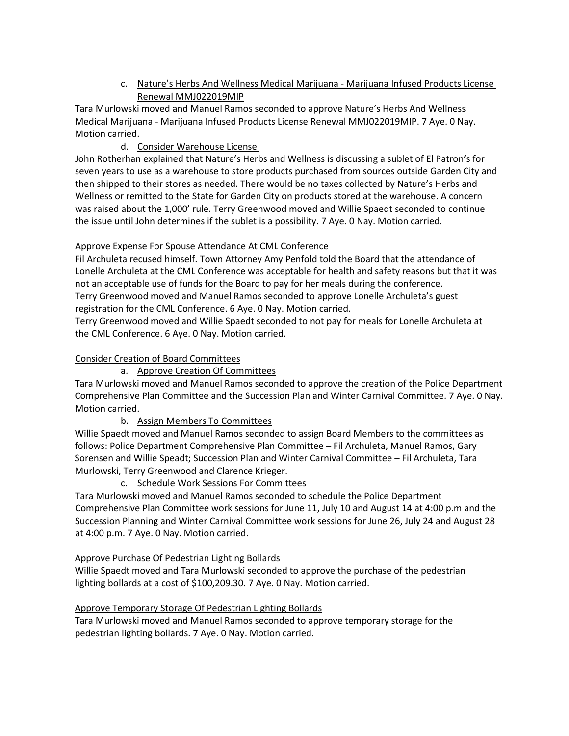c. Nature's Herbs And Wellness Medical Marijuana - Marijuana Infused Products License Renewal MMJ022019MIP

Tara Murlowski moved and Manuel Ramos seconded to approve Nature's Herbs And Wellness Medical Marijuana - Marijuana Infused Products License Renewal MMJ022019MIP. 7 Aye. 0 Nay. Motion carried.

d. Consider Warehouse License

John Rotherhan explained that Nature's Herbs and Wellness is discussing a sublet of El Patron's for seven years to use as a warehouse to store products purchased from sources outside Garden City and then shipped to their stores as needed. There would be no taxes collected by Nature's Herbs and Wellness or remitted to the State for Garden City on products stored at the warehouse. A concern was raised about the 1,000' rule. Terry Greenwood moved and Willie Spaedt seconded to continue the issue until John determines if the sublet is a possibility. 7 Aye. 0 Nay. Motion carried.

# Approve Expense For Spouse Attendance At CML Conference

Fil Archuleta recused himself. Town Attorney Amy Penfold told the Board that the attendance of Lonelle Archuleta at the CML Conference was acceptable for health and safety reasons but that it was not an acceptable use of funds for the Board to pay for her meals during the conference. Terry Greenwood moved and Manuel Ramos seconded to approve Lonelle Archuleta's guest registration for the CML Conference. 6 Aye. 0 Nay. Motion carried.

Terry Greenwood moved and Willie Spaedt seconded to not pay for meals for Lonelle Archuleta at the CML Conference. 6 Aye. 0 Nay. Motion carried.

# Consider Creation of Board Committees

a. Approve Creation Of Committees

Tara Murlowski moved and Manuel Ramos seconded to approve the creation of the Police Department Comprehensive Plan Committee and the Succession Plan and Winter Carnival Committee. 7 Aye. 0 Nay. Motion carried.

b. Assign Members To Committees

Willie Spaedt moved and Manuel Ramos seconded to assign Board Members to the committees as follows: Police Department Comprehensive Plan Committee – Fil Archuleta, Manuel Ramos, Gary Sorensen and Willie Speadt; Succession Plan and Winter Carnival Committee – Fil Archuleta, Tara Murlowski, Terry Greenwood and Clarence Krieger.

c. Schedule Work Sessions For Committees

Tara Murlowski moved and Manuel Ramos seconded to schedule the Police Department Comprehensive Plan Committee work sessions for June 11, July 10 and August 14 at 4:00 p.m and the Succession Planning and Winter Carnival Committee work sessions for June 26, July 24 and August 28 at 4:00 p.m. 7 Aye. 0 Nay. Motion carried.

# Approve Purchase Of Pedestrian Lighting Bollards

Willie Spaedt moved and Tara Murlowski seconded to approve the purchase of the pedestrian lighting bollards at a cost of \$100,209.30. 7 Aye. 0 Nay. Motion carried.

# Approve Temporary Storage Of Pedestrian Lighting Bollards

Tara Murlowski moved and Manuel Ramos seconded to approve temporary storage for the pedestrian lighting bollards. 7 Aye. 0 Nay. Motion carried.